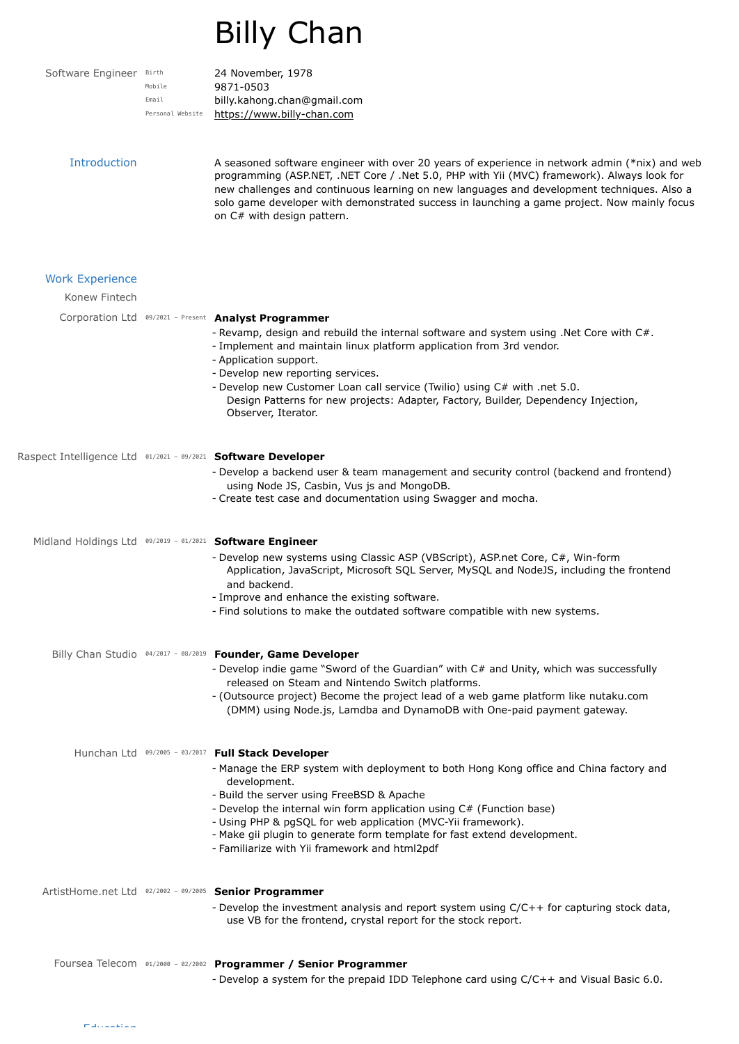## Billy Chan

Software Engineer Birth 24 November, 1978 Mobile Email Personal Website

9871-0503 billy.kahong.chan@gmail.com [https://www.billy-chan.com](https://www.billy-chan.com/)

Introduction A seasoned software engineer with over 20 years of experience in network admin (\*nix) and web programming (ASP.NET, .NET Core / .Net 5.0, PHP with Yii (MVC) framework). Always look for new challenges and continuous learning on new languages and development techniques. Also a solo game developer with demonstrated success in launching a game project. Now mainly focus on C# with design pattern.

| <b>Work Experience</b><br>Konew Fintech                       |                                                                                                                                                                                                                                                                                                                                                                                                                                                                                 |
|---------------------------------------------------------------|---------------------------------------------------------------------------------------------------------------------------------------------------------------------------------------------------------------------------------------------------------------------------------------------------------------------------------------------------------------------------------------------------------------------------------------------------------------------------------|
|                                                               | Corporation Ltd 09/2021 - Present Analyst Programmer<br>- Revamp, design and rebuild the internal software and system using .Net Core with C#.<br>- Implement and maintain linux platform application from 3rd vendor.<br>- Application support.<br>- Develop new reporting services.<br>- Develop new Customer Loan call service (Twilio) using C# with .net 5.0.<br>Design Patterns for new projects: Adapter, Factory, Builder, Dependency Injection,<br>Observer, Iterator. |
| Raspect Intelligence Ltd 01/2021 - 09/2021 Software Developer | - Develop a backend user & team management and security control (backend and frontend)<br>using Node JS, Casbin, Vus js and MongoDB.<br>- Create test case and documentation using Swagger and mocha.                                                                                                                                                                                                                                                                           |
|                                                               | Midland Holdings Ltd 09/2019 - 01/2021 Software Engineer<br>- Develop new systems using Classic ASP (VBScript), ASP.net Core, C#, Win-form<br>Application, JavaScript, Microsoft SQL Server, MySQL and NodeJS, including the frontend<br>and backend.<br>- Improve and enhance the existing software.<br>- Find solutions to make the outdated software compatible with new systems.                                                                                            |
|                                                               | Billy Chan Studio 04/2017 - 08/2019 Founder, Game Developer<br>- Develop indie game "Sword of the Guardian" with C# and Unity, which was successfully<br>released on Steam and Nintendo Switch platforms.<br>- (Outsource project) Become the project lead of a web game platform like nutaku.com<br>(DMM) using Node.js, Lamdba and DynamoDB with One-paid payment gateway.                                                                                                    |
|                                                               | Hunchan Ltd 09/2005 - 03/2017 Full Stack Developer<br>- Manage the ERP system with deployment to both Hong Kong office and China factory and<br>development.<br>- Build the server using FreeBSD & Apache<br>- Develop the internal win form application using C# (Function base)<br>- Using PHP & pgSQL for web application (MVC-Yii framework).<br>- Make gii plugin to generate form template for fast extend development.<br>- Familiarize with Yii framework and html2pdf  |
|                                                               | ArtistHome.net Ltd 02/2002 - 09/2005 Senior Programmer<br>- Develop the investment analysis and report system using C/C++ for capturing stock data,<br>use VB for the frontend, crystal report for the stock report.                                                                                                                                                                                                                                                            |
|                                                               | Foursea Telecom 01/2000 - 02/2002 Programmer / Senior Programmer                                                                                                                                                                                                                                                                                                                                                                                                                |

- Develop a system for the prepaid IDD Telephone card using C/C++ and Visual Basic 6.0.